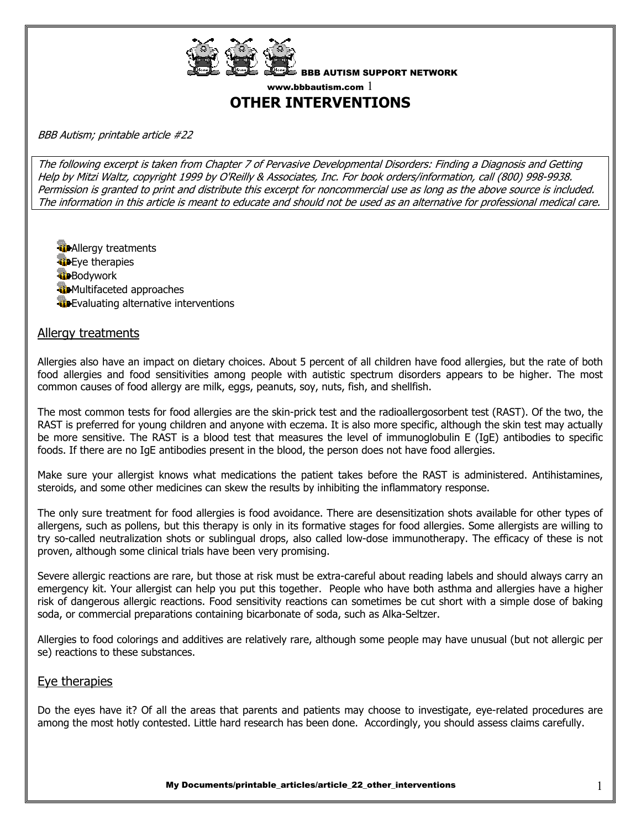

BBB AUTISM SUPPORT NETWORK www.bbbautism.com  $1$ 

**OTHER INTERVENTIONS** 

BBB Autism; printable article #22

The following excerpt is taken from Chapter 7 of Pervasive Developmental Disorders: Finding a Diagnosis and Getting Help by Mitzi Waltz, copyright 1999 by O'Reilly & Associates, Inc. For book orders/information, call (800) 998-9938. Permission is granted to print and distribute this excerpt for noncommercial use as long as the above source is included. The information in this article is meant to educate and should not be used as an alternative for professional medical care.

**W**Allergy treatments **T** Eye therapies **Bodywork W**ultifaceted approaches **Evaluating alternative interventions** 

### Allergy treatments

Allergies also have an impact on dietary choices. About 5 percent of all children have food allergies, but the rate of both food allergies and food sensitivities among people with autistic spectrum disorders appears to be higher. The most common causes of food allergy are milk, eggs, peanuts, soy, nuts, fish, and shellfish.

The most common tests for food allergies are the skin-prick test and the radioallergosorbent test (RAST). Of the two, the RAST is preferred for young children and anyone with eczema. It is also more specific, although the skin test may actually be more sensitive. The RAST is a blood test that measures the level of immunoglobulin E (IgE) antibodies to specific foods. If there are no IgE antibodies present in the blood, the person does not have food allergies.

Make sure your allergist knows what medications the patient takes before the RAST is administered. Antihistamines, steroids, and some other medicines can skew the results by inhibiting the inflammatory response.

The only sure treatment for food allergies is food avoidance. There are desensitization shots available for other types of allergens, such as pollens, but this therapy is only in its formative stages for food allergies. Some allergists are willing to try so-called neutralization shots or sublingual drops, also called low-dose immunotherapy. The efficacy of these is not proven, although some clinical trials have been very promising.

Severe allergic reactions are rare, but those at risk must be extra-careful about reading labels and should always carry an emergency kit. Your allergist can help you put this together. People who have both asthma and allergies have a higher risk of dangerous allergic reactions. Food sensitivity reactions can sometimes be cut short with a simple dose of baking soda, or commercial preparations containing bicarbonate of soda, such as Alka-Seltzer.

Allergies to food colorings and additives are relatively rare, although some people may have unusual (but not allergic per se) reactions to these substances.

## Eye therapies

Do the eyes have it? Of all the areas that parents and patients may choose to investigate, eye-related procedures are among the most hotly contested. Little hard research has been done. Accordingly, you should assess claims carefully.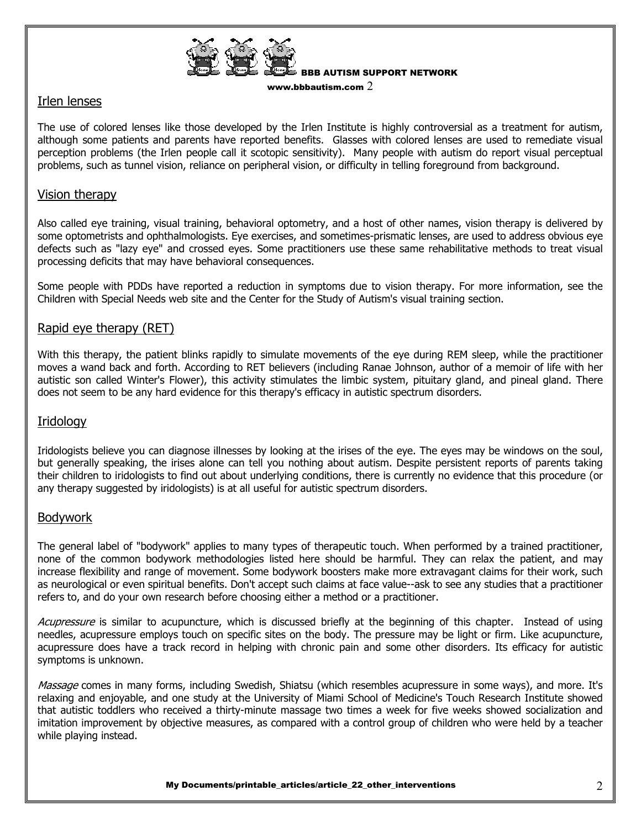

BBB AUTISM SUPPORT NETWORK

www.bbbautism.com  $2$ 

### Irlen lenses

The use of colored lenses like those developed by the Irlen Institute is highly controversial as a treatment for autism, although some patients and parents have reported benefits. Glasses with colored lenses are used to remediate visual perception problems (the Irlen people call it scotopic sensitivity). Many people with autism do report visual perceptual problems, such as tunnel vision, reliance on peripheral vision, or difficulty in telling foreground from background.

# Vision therapy

Also called eye training, visual training, behavioral optometry, and a host of other names, vision therapy is delivered by some optometrists and ophthalmologists. Eye exercises, and sometimes-prismatic lenses, are used to address obvious eye defects such as "lazy eye" and crossed eyes. Some practitioners use these same rehabilitative methods to treat visual processing deficits that may have behavioral consequences.

Some people with PDDs have reported a reduction in symptoms due to vision therapy. For more information, see the Children with Special Needs web site and the Center for the Study of Autism's visual training section.

## Rapid eye therapy (RET)

With this therapy, the patient blinks rapidly to simulate movements of the eye during REM sleep, while the practitioner moves a wand back and forth. According to RET believers (including Ranae Johnson, author of a memoir of life with her autistic son called Winter's Flower), this activity stimulates the limbic system, pituitary gland, and pineal gland. There does not seem to be any hard evidence for this therapy's efficacy in autistic spectrum disorders.

# **Iridology**

Iridologists believe you can diagnose illnesses by looking at the irises of the eye. The eyes may be windows on the soul, but generally speaking, the irises alone can tell you nothing about autism. Despite persistent reports of parents taking their children to iridologists to find out about underlying conditions, there is currently no evidence that this procedure (or any therapy suggested by iridologists) is at all useful for autistic spectrum disorders.

## Bodywork

The general label of "bodywork" applies to many types of therapeutic touch. When performed by a trained practitioner, none of the common bodywork methodologies listed here should be harmful. They can relax the patient, and may increase flexibility and range of movement. Some bodywork boosters make more extravagant claims for their work, such as neurological or even spiritual benefits. Don't accept such claims at face value--ask to see any studies that a practitioner refers to, and do your own research before choosing either a method or a practitioner.

Acupressure is similar to acupuncture, which is discussed briefly at the beginning of this chapter. Instead of using needles, acupressure employs touch on specific sites on the body. The pressure may be light or firm. Like acupuncture, acupressure does have a track record in helping with chronic pain and some other disorders. Its efficacy for autistic symptoms is unknown.

Massage comes in many forms, including Swedish, Shiatsu (which resembles acupressure in some ways), and more. It's relaxing and enjoyable, and one study at the University of Miami School of Medicine's Touch Research Institute showed that autistic toddlers who received a thirty-minute massage two times a week for five weeks showed socialization and imitation improvement by objective measures, as compared with a control group of children who were held by a teacher while playing instead.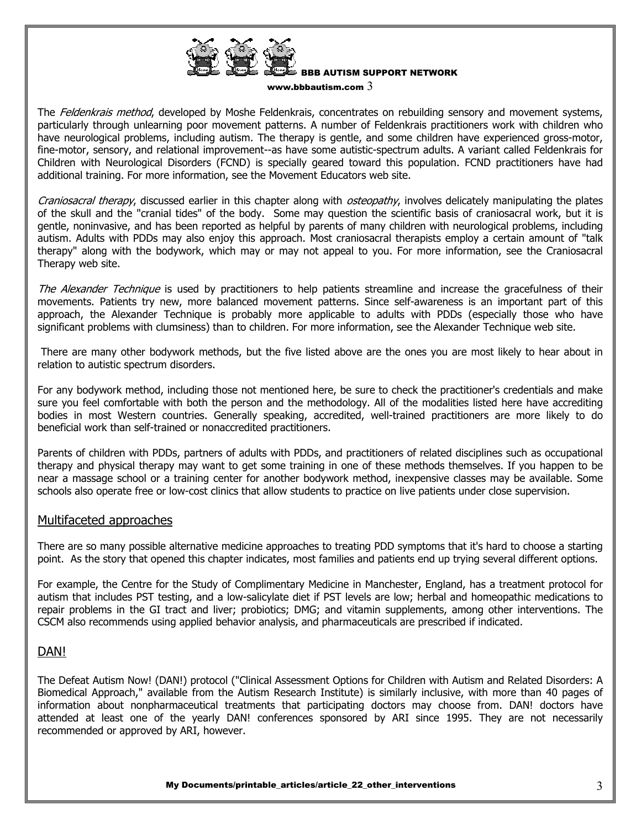

BBB AUTISM SUPPORT NETWORK

#### www.bbbautism.com  $3$

The Feldenkrais method, developed by Moshe Feldenkrais, concentrates on rebuilding sensory and movement systems, particularly through unlearning poor movement patterns. A number of Feldenkrais practitioners work with children who have neurological problems, including autism. The therapy is gentle, and some children have experienced gross-motor, fine-motor, sensory, and relational improvement--as have some autistic-spectrum adults. A variant called Feldenkrais for Children with Neurological Disorders (FCND) is specially geared toward this population. FCND practitioners have had additional training. For more information, see the Movement Educators web site.

Craniosacral therapy, discussed earlier in this chapter along with osteopathy, involves delicately manipulating the plates of the skull and the "cranial tides" of the body. Some may question the scientific basis of craniosacral work, but it is gentle, noninvasive, and has been reported as helpful by parents of many children with neurological problems, including autism. Adults with PDDs may also enjoy this approach. Most craniosacral therapists employ a certain amount of "talk therapy" along with the bodywork, which may or may not appeal to you. For more information, see the Craniosacral Therapy web site.

The Alexander Technique is used by practitioners to help patients streamline and increase the gracefulness of their movements. Patients try new, more balanced movement patterns. Since self-awareness is an important part of this approach, the Alexander Technique is probably more applicable to adults with PDDs (especially those who have significant problems with clumsiness) than to children. For more information, see the Alexander Technique web site.

 There are many other bodywork methods, but the five listed above are the ones you are most likely to hear about in relation to autistic spectrum disorders.

For any bodywork method, including those not mentioned here, be sure to check the practitioner's credentials and make sure you feel comfortable with both the person and the methodology. All of the modalities listed here have accrediting bodies in most Western countries. Generally speaking, accredited, well-trained practitioners are more likely to do beneficial work than self-trained or nonaccredited practitioners.

Parents of children with PDDs, partners of adults with PDDs, and practitioners of related disciplines such as occupational therapy and physical therapy may want to get some training in one of these methods themselves. If you happen to be near a massage school or a training center for another bodywork method, inexpensive classes may be available. Some schools also operate free or low-cost clinics that allow students to practice on live patients under close supervision.

### Multifaceted approaches

There are so many possible alternative medicine approaches to treating PDD symptoms that it's hard to choose a starting point. As the story that opened this chapter indicates, most families and patients end up trying several different options.

For example, the Centre for the Study of Complimentary Medicine in Manchester, England, has a treatment protocol for autism that includes PST testing, and a low-salicylate diet if PST levels are low; herbal and homeopathic medications to repair problems in the GI tract and liver; probiotics; DMG; and vitamin supplements, among other interventions. The CSCM also recommends using applied behavior analysis, and pharmaceuticals are prescribed if indicated.

## DAN!

The Defeat Autism Now! (DAN!) protocol ("Clinical Assessment Options for Children with Autism and Related Disorders: A Biomedical Approach," available from the Autism Research Institute) is similarly inclusive, with more than 40 pages of information about nonpharmaceutical treatments that participating doctors may choose from. DAN! doctors have attended at least one of the yearly DAN! conferences sponsored by ARI since 1995. They are not necessarily recommended or approved by ARI, however.